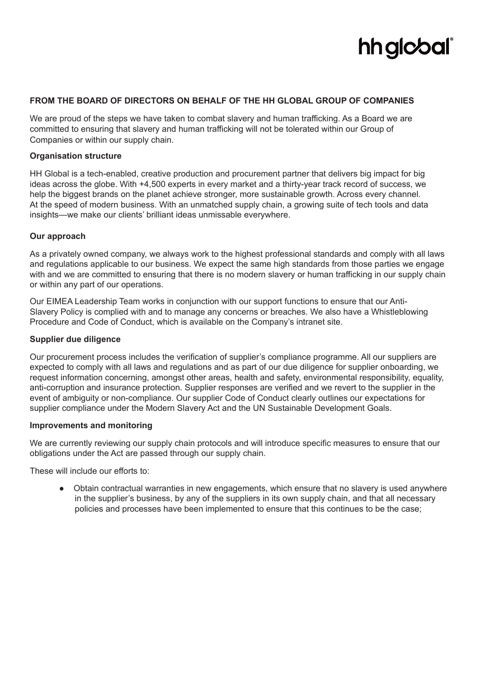# **hh glcbal**

## **FROM THE BOARD OF DIRECTORS ON BEHALF OF THE HH GLOBAL GROUP OF COMPANIES**

We are proud of the steps we have taken to combat slavery and human trafficking. As a Board we are committed to ensuring that slavery and human trafficking will not be tolerated within our Group of Companies or within our supply chain.

## **Organisation structure**

HH Global is a tech-enabled, creative production and procurement partner that delivers big impact for big ideas across the globe. With +4,500 experts in every market and a thirty-year track record of success, we help the biggest brands on the planet achieve stronger, more sustainable growth. Across every channel. At the speed of modern business. With an unmatched supply chain, a growing suite of tech tools and data insights—we make our clients' brilliant ideas unmissable everywhere.

#### **Our approach**

As a privately owned company, we always work to the highest professional standards and comply with all laws and regulations applicable to our business. We expect the same high standards from those parties we engage with and we are committed to ensuring that there is no modern slavery or human trafficking in our supply chain or within any part of our operations.

Our EIMEA Leadership Team works in conjunction with our support functions to ensure that our Anti-Slavery Policy is complied with and to manage any concerns or breaches. We also have a Whistleblowing Procedure and Code of Conduct, which is available on the Company's intranet site.

## **Supplier due diligence**

Our procurement process includes the verification of supplier's compliance programme. All our suppliers are expected to comply with all laws and regulations and as part of our due diligence for supplier onboarding, we request information concerning, amongst other areas, health and safety, environmental responsibility, equality, anti-corruption and insurance protection. Supplier responses are verified and we revert to the supplier in the event of ambiguity or non-compliance. Our supplier Code of Conduct clearly outlines our expectations for supplier compliance under the Modern Slavery Act and the UN Sustainable Development Goals.

## **Improvements and monitoring**

We are currently reviewing our supply chain protocols and will introduce specific measures to ensure that our obligations under the Act are passed through our supply chain.

These will include our efforts to:

● Obtain contractual warranties in new engagements, which ensure that no slavery is used anywhere in the supplier's business, by any of the suppliers in its own supply chain, and that all necessary policies and processes have been implemented to ensure that this continues to be the case;